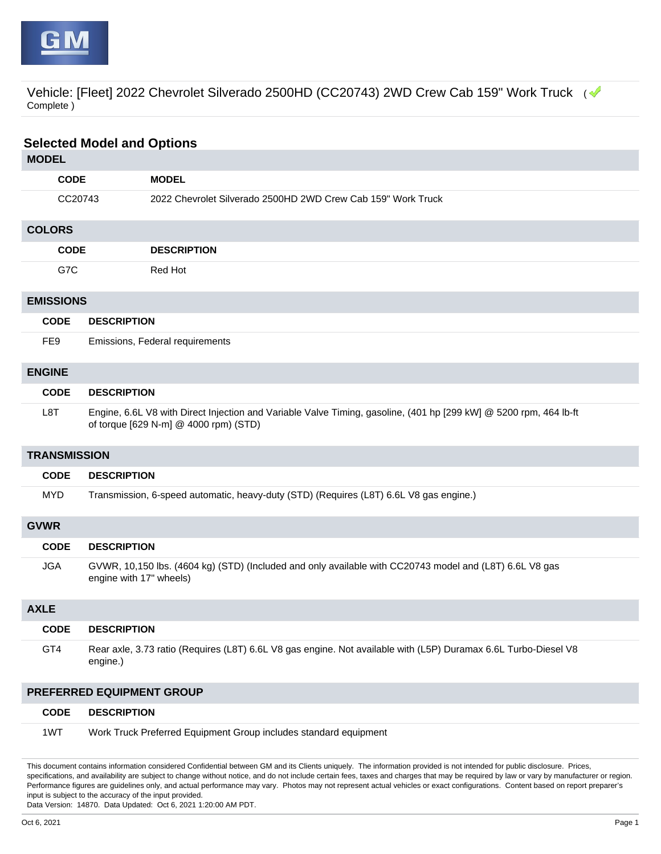

Vehicle: [Fleet] 2022 Chevrolet Silverado 2500HD (CC20743) 2WD Crew Cab 159" Work Truck (< Complete )

| <b>Selected Model and Options</b> |                         |                                                                                                                                                            |  |  |
|-----------------------------------|-------------------------|------------------------------------------------------------------------------------------------------------------------------------------------------------|--|--|
| <b>MODEL</b>                      |                         |                                                                                                                                                            |  |  |
|                                   | <b>CODE</b>             | <b>MODEL</b>                                                                                                                                               |  |  |
|                                   | CC20743                 | 2022 Chevrolet Silverado 2500HD 2WD Crew Cab 159" Work Truck                                                                                               |  |  |
| <b>COLORS</b>                     |                         |                                                                                                                                                            |  |  |
|                                   | <b>CODE</b>             | <b>DESCRIPTION</b>                                                                                                                                         |  |  |
| G7C                               |                         | Red Hot                                                                                                                                                    |  |  |
| <b>EMISSIONS</b>                  |                         |                                                                                                                                                            |  |  |
| <b>CODE</b>                       | <b>DESCRIPTION</b>      |                                                                                                                                                            |  |  |
| FE <sub>9</sub>                   |                         | Emissions, Federal requirements                                                                                                                            |  |  |
| <b>ENGINE</b>                     |                         |                                                                                                                                                            |  |  |
| <b>CODE</b>                       | <b>DESCRIPTION</b>      |                                                                                                                                                            |  |  |
| L <sub>8</sub> T                  |                         | Engine, 6.6L V8 with Direct Injection and Variable Valve Timing, gasoline, (401 hp [299 kW] @ 5200 rpm, 464 lb-ft<br>of torque [629 N-m] @ 4000 rpm) (STD) |  |  |
| <b>TRANSMISSION</b>               |                         |                                                                                                                                                            |  |  |
| <b>CODE</b>                       |                         | <b>DESCRIPTION</b>                                                                                                                                         |  |  |
| <b>MYD</b>                        |                         | Transmission, 6-speed automatic, heavy-duty (STD) (Requires (L8T) 6.6L V8 gas engine.)                                                                     |  |  |
| <b>GVWR</b>                       |                         |                                                                                                                                                            |  |  |
| <b>CODE</b>                       | <b>DESCRIPTION</b>      |                                                                                                                                                            |  |  |
| <b>JGA</b>                        | engine with 17" wheels) | GVWR, 10,150 lbs. (4604 kg) (STD) (Included and only available with CC20743 model and (L8T) 6.6L V8 gas                                                    |  |  |
| <b>AXLE</b>                       |                         |                                                                                                                                                            |  |  |
| <b>CODE</b>                       | <b>DESCRIPTION</b>      |                                                                                                                                                            |  |  |
| GT4                               | engine.)                | Rear axle, 3.73 ratio (Requires (L8T) 6.6L V8 gas engine. Not available with (L5P) Duramax 6.6L Turbo-Diesel V8                                            |  |  |
| PREFERRED EQUIPMENT GROUP         |                         |                                                                                                                                                            |  |  |
| <b>CODE</b>                       | <b>DESCRIPTION</b>      |                                                                                                                                                            |  |  |
| 1WT                               |                         | Work Truck Preferred Equipment Group includes standard equipment                                                                                           |  |  |

This document contains information considered Confidential between GM and its Clients uniquely. The information provided is not intended for public disclosure. Prices, specifications, and availability are subject to change without notice, and do not include certain fees, taxes and charges that may be required by law or vary by manufacturer or region. Performance figures are guidelines only, and actual performance may vary. Photos may not represent actual vehicles or exact configurations. Content based on report preparer's input is subject to the accuracy of the input provided.

Data Version: 14870. Data Updated: Oct 6, 2021 1:20:00 AM PDT.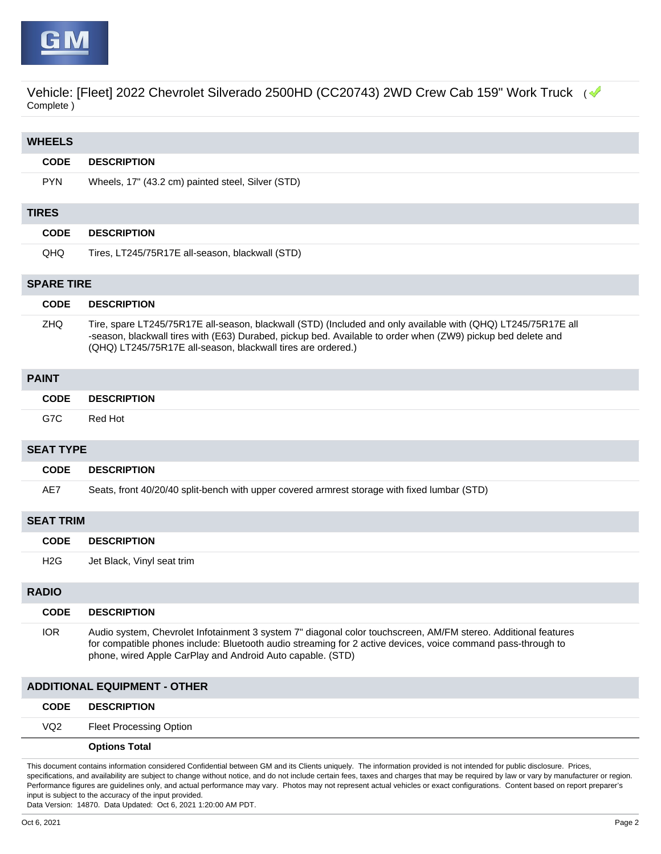

Vehicle: [Fleet] 2022 Chevrolet Silverado 2500HD (CC20743) 2WD Crew Cab 159" Work Truck (< Complete )

| <b>WHEELS</b>                       |                  |                                                                                                                                                                                                                                                                                               |  |  |
|-------------------------------------|------------------|-----------------------------------------------------------------------------------------------------------------------------------------------------------------------------------------------------------------------------------------------------------------------------------------------|--|--|
|                                     | <b>CODE</b>      | <b>DESCRIPTION</b>                                                                                                                                                                                                                                                                            |  |  |
|                                     | <b>PYN</b>       | Wheels, 17" (43.2 cm) painted steel, Silver (STD)                                                                                                                                                                                                                                             |  |  |
|                                     | <b>TIRES</b>     |                                                                                                                                                                                                                                                                                               |  |  |
|                                     | <b>CODE</b>      | <b>DESCRIPTION</b>                                                                                                                                                                                                                                                                            |  |  |
|                                     | QHQ              | Tires, LT245/75R17E all-season, blackwall (STD)                                                                                                                                                                                                                                               |  |  |
| <b>SPARE TIRE</b>                   |                  |                                                                                                                                                                                                                                                                                               |  |  |
|                                     | <b>CODE</b>      | <b>DESCRIPTION</b>                                                                                                                                                                                                                                                                            |  |  |
|                                     | <b>ZHQ</b>       | Tire, spare LT245/75R17E all-season, blackwall (STD) (Included and only available with (QHQ) LT245/75R17E all<br>-season, blackwall tires with (E63) Durabed, pickup bed. Available to order when (ZW9) pickup bed delete and<br>(QHQ) LT245/75R17E all-season, blackwall tires are ordered.) |  |  |
| <b>PAINT</b>                        |                  |                                                                                                                                                                                                                                                                                               |  |  |
|                                     | <b>CODE</b>      | <b>DESCRIPTION</b>                                                                                                                                                                                                                                                                            |  |  |
|                                     | G7C              | Red Hot                                                                                                                                                                                                                                                                                       |  |  |
| <b>SEAT TYPE</b>                    |                  |                                                                                                                                                                                                                                                                                               |  |  |
|                                     | <b>CODE</b>      | <b>DESCRIPTION</b>                                                                                                                                                                                                                                                                            |  |  |
|                                     | AE7              | Seats, front 40/20/40 split-bench with upper covered armrest storage with fixed lumbar (STD)                                                                                                                                                                                                  |  |  |
| <b>SEAT TRIM</b>                    |                  |                                                                                                                                                                                                                                                                                               |  |  |
|                                     | <b>CODE</b>      | <b>DESCRIPTION</b>                                                                                                                                                                                                                                                                            |  |  |
|                                     | H <sub>2</sub> G | Jet Black, Vinyl seat trim                                                                                                                                                                                                                                                                    |  |  |
| <b>RADIO</b>                        |                  |                                                                                                                                                                                                                                                                                               |  |  |
|                                     | <b>CODE</b>      | <b>DESCRIPTION</b>                                                                                                                                                                                                                                                                            |  |  |
|                                     | <b>IOR</b>       | Audio system, Chevrolet Infotainment 3 system 7" diagonal color touchscreen, AM/FM stereo. Additional features<br>for compatible phones include: Bluetooth audio streaming for 2 active devices, voice command pass-through to<br>phone, wired Apple CarPlay and Android Auto capable. (STD)  |  |  |
| <b>ADDITIONAL EQUIPMENT - OTHER</b> |                  |                                                                                                                                                                                                                                                                                               |  |  |
|                                     | <b>CODE</b>      | <b>DESCRIPTION</b>                                                                                                                                                                                                                                                                            |  |  |
|                                     | VQ <sub>2</sub>  | <b>Fleet Processing Option</b>                                                                                                                                                                                                                                                                |  |  |
|                                     |                  | <b>Options Total</b>                                                                                                                                                                                                                                                                          |  |  |

This document contains information considered Confidential between GM and its Clients uniquely. The information provided is not intended for public disclosure. Prices, specifications, and availability are subject to change without notice, and do not include certain fees, taxes and charges that may be required by law or vary by manufacturer or region. Performance figures are guidelines only, and actual performance may vary. Photos may not represent actual vehicles or exact configurations. Content based on report preparer's input is subject to the accuracy of the input provided.

Data Version: 14870. Data Updated: Oct 6, 2021 1:20:00 AM PDT.